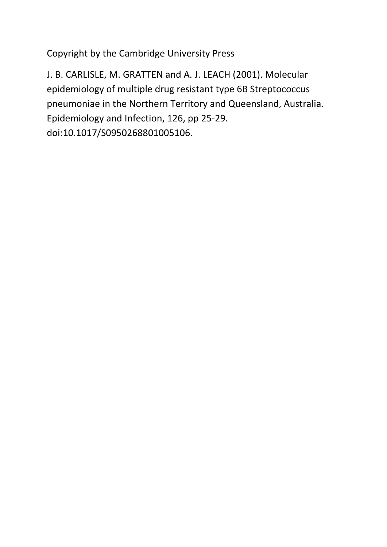Copyright by the Cambridge University Press

J. B. CARLISLE, M. GRATTEN and A. J. LEACH (2001). Molecular epidemiology of multiple drug resistant type 6B Streptococcus pneumoniae in the Northern Territory and Queensland, Australia. Epidemiology and Infection, 126, pp 25-29. doi:10.1017/S0950268801005106.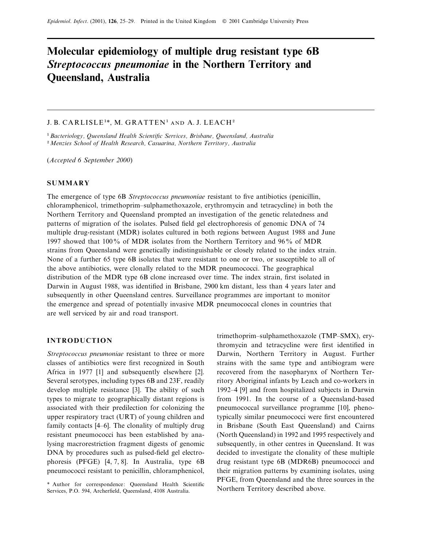# **Molecular epidemiology of multiple drug resistant type 6B** *Streptococcus pneumoniae* **in the Northern Territory and Queensland, Australia**

# J. B. CARLISLE<sup>1\*</sup>, M. GRATTEN<sup>1</sup> AND A. J. LEACH<sup>2</sup>

"*Bacteriology, Queensland Health Scientific Serices, Brisbane, Queensland, Australia* <sup>2</sup> Menzies School of Health Research, Casuarina, Northern Territory, Australia

(*Accepted 6 September 2000*)

# **SUMMARY**

The emergence of type 6B *Streptococcus pneumoniae* resistant to five antibiotics (penicillin, chloramphenicol, trimethoprim–sulphamethoxazole, erythromycin and tetracycline) in both the Northern Territory and Queensland prompted an investigation of the genetic relatedness and patterns of migration of the isolates. Pulsed field gel electrophoresis of genomic DNA of 74 multiple drug-resistant (MDR) isolates cultured in both regions between August 1988 and June 1997 showed that 100% of MDR isolates from the Northern Territory and 96% of MDR strains from Queensland were genetically indistinguishable or closely related to the index strain. None of a further 65 type 6B isolates that were resistant to one or two, or susceptible to all of the above antibiotics, were clonally related to the MDR pneumococci. The geographical distribution of the MDR type 6B clone increased over time. The index strain, first isolated in Darwin in August 1988, was identified in Brisbane, 2900 km distant, less than 4 years later and subsequently in other Queensland centres. Surveillance programmes are important to monitor the emergence and spread of potentially invasive MDR pneumococcal clones in countries that are well serviced by air and road transport.

## **INTRODUCTION**

*Streptococcus pneumoniae* resistant to three or more classes of antibiotics were first recognized in South Africa in 1977 [1] and subsequently elsewhere [2]. Several serotypes, including types 6B and 23F, readily develop multiple resistance [3]. The ability of such types to migrate to geographically distant regions is associated with their predilection for colonizing the upper respiratory tract (URT) of young children and family contacts [4–6]. The clonality of multiply drug resistant pneumococci has been established by analysing macrorestriction fragment digests of genomic DNA by procedures such as pulsed-field gel electrophoresis (PFGE) [4, 7, 8]. In Australia, type 6B pneumococci resistant to penicillin, chloramphenicol, trimethoprim–sulphamethoxazole (TMP–SMX), erythromycin and tetracycline were first identified in Darwin, Northern Territory in August. Further strains with the same type and antibiogram were recovered from the nasopharynx of Northern Territory Aboriginal infants by Leach and co-workers in 1992–4 [9] and from hospitalized subjects in Darwin from 1991. In the course of a Queensland-based pneumococcal surveillance programme [10], phenotypically similar pneumococci were first encountered in Brisbane (South East Queensland) and Cairns (North Queensland) in 1992 and 1995 respectively and subsequently, in other centres in Queensland. It was decided to investigate the clonality of these multiple drug resistant type 6B (MDR6B) pneumococci and their migration patterns by examining isolates, using PFGE, from Queensland and the three sources in the Northern Territory described above.

<sup>\*</sup> Author for correspondence: Queensland Health Scientific Services, P.O. 594, Archerfield, Queensland, 4108 Australia.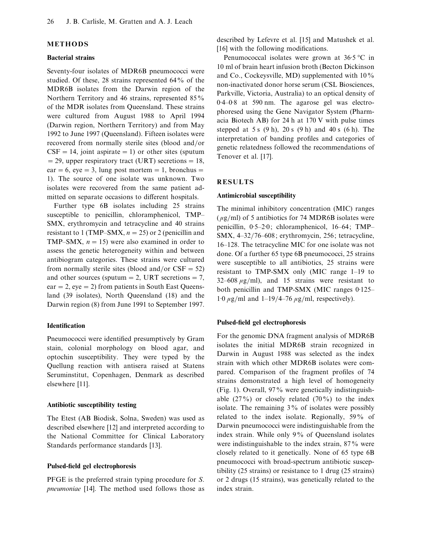# **METHODS**

## **Bacterial strains**

Seventy-four isolates of MDR6B pneumococci were studied. Of these, 28 strains represented 64% of the MDR6B isolates from the Darwin region of the Northern Territory and 46 strains, represented 85% of the MDR isolates from Queensland. These strains were cultured from August 1988 to April 1994 (Darwin region, Northern Territory) and from May 1992 to June 1997 (Queensland). Fifteen isolates were recovered from normally sterile sites (blood and/or  $CSF = 14$ , joint aspirate = 1) or other sites (sputum  $=$  29, upper respiratory tract (URT) secretions  $=18$ , ear = 6, eye = 3, lung post mortem = 1, bronchus = 1). The source of one isolate was unknown. Two isolates were recovered from the same patient admitted on separate occasions to different hospitals.

Further type 6B isolates including 25 strains susceptible to penicillin, chloramphenicol, TMP– SMX, erythromycin and tetracycline and 40 strains resistant to 1 (TMP–SMX,  $n = 25$ ) or 2 (penicillin and TMP–SMX,  $n = 15$ ) were also examined in order to assess the genetic heterogeneity within and between antibiogram categories. These strains were cultured from normally sterile sites (blood and/or  $CSF = 52$ ) and other sources (sputum  $=$  2, URT secretions  $= 7$ ,  $ear = 2$ , eye = 2) from patients in South East Queensland (39 isolates), North Queensland (18) and the Darwin region (8) from June 1991 to September 1997.

#### **Identification**

Pneumococci were identified presumptively by Gram stain, colonial morphology on blood agar, and optochin susceptibility. They were typed by the Quellung reaction with antisera raised at Statens Seruminstitut, Copenhagen, Denmark as described elsewhere [11].

## **Antibiotic susceptibility testing**

The Etest (AB Biodisk, Solna, Sweden) was used as described elsewhere [12] and interpreted according to the National Committee for Clinical Laboratory Standards performance standards [13].

## **Pulsed-field gel electrophoresis**

PFGE is the preferred strain typing procedure for *S*. *pneumoniae* [14]. The method used follows those as

described by Lefevre et al. [15] and Matushek et al. [16] with the following modifications.

Penumococcal isolates were grown at  $36.5 \degree C$  in 10 ml of brain heart infusion broth (Becton Dickinson and Co., Cockeysville, MD) supplemented with 10% non-inactivated donor horse serum (CSL Biosciences, Parkville, Victoria, Australia) to an optical density of 0.4–0.8 at 590 nm. The agarose gel was electrophoresed using the Gene Navigator System (Pharmacia Biotech AB) for 24 h at 170 V with pulse times stepped at 5 s  $(9 h)$ , 20 s  $(9 h)$  and 40 s  $(6 h)$ . The interpretation of banding profiles and categories of genetic relatedness followed the recommendations of Tenover et al. [17].

#### **RESULTS**

## **Antimicrobial susceptibility**

The minimal inhibitory concentration (MIC) ranges  $(\mu g/ml)$  of 5 antibiotics for 74 MDR6B isolates were penicillin,  $0.5-2.0$ ; chloramphenicol,  $16-64$ ; TMP– SMX, 4–32}76–608; erythromycin, 256; tetracycline, 16–128. The tetracycline MIC for one isolate was not done. Of a further 65 type 6B pneumococci, 25 strains were susceptible to all antibiotics, 25 strains were resistant to TMP-SMX only (MIC range 1–19 to  $32-608 \mu g/ml$ , and 15 strains were resistant to both penicillin and TMP-SMX (MIC ranges  $0.125-$ 1.0  $\mu$ g/ml and 1–19/4–76  $\mu$ g/ml, respectively).

#### **Pulsed-field gel electrophoresis**

For the genomic DNA fragment analysis of MDR6B isolates the initial MDR6B strain recognized in Darwin in August 1988 was selected as the index strain with which other MDR6B isolates were compared. Comparison of the fragment profiles of 74 strains demonstrated a high level of homogeneity (Fig. 1). Overall, 97% were genetically indistinguishable  $(27\%)$  or closely related  $(70\%)$  to the index isolate. The remaining 3% of isolates were possibly related to the index isolate. Regionally, 59% of Darwin pneumococci were indistinguishable from the index strain. While only 9% of Queensland isolates were indistinguishable to the index strain, 87% were closely related to it genetically. None of 65 type 6B pneumococci with broad-spectrum antibiotic susceptibility (25 strains) or resistance to 1 drug (25 strains) or 2 drugs (15 strains), was genetically related to the index strain.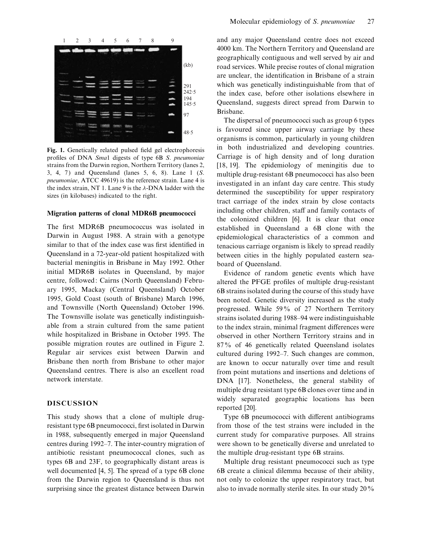

**Fig. 1.** Genetically related pulsed field gel electrophoresis profiles of DNA *Sma*1 digests of type 6B *S*. *pneumoniae* strains from the Darwin region, Northern Territory (lanes 2, 3, 4, 7 ) and Queensland (lanes 5, 6, 8). Lane 1 (*S*. *pneumoniae*, ATCC 49619) is the reference strain. Lane 4 is the index strain, NT 1. Lane 9 is the  $\lambda$ -DNA ladder with the sizes (in kilobases) indicated to the right.

#### **Migration patterns of clonal MDR6B pneumococci**

The first MDR6B pneumococcus was isolated in Darwin in August 1988. A strain with a genotype similar to that of the index case was first identified in Queensland in a 72-year-old patient hospitalized with bacterial meningitis in Brisbane in May 1992. Other initial MDR6B isolates in Queensland, by major centre, followed: Cairns (North Queensland) February 1995, Mackay (Central Queensland) October 1995, Gold Coast (south of Brisbane) March 1996, and Townsville (North Queensland) October 1996. The Townsville isolate was genetically indistinguishable from a strain cultured from the same patient while hospitalized in Brisbane in October 1995. The possible migration routes are outlined in Figure 2. Regular air services exist between Darwin and Brisbane then north from Brisbane to other major Queensland centres. There is also an excellent road network interstate.

# **DISCUSSION**

This study shows that a clone of multiple drugresistant type 6B pneumococci, first isolated in Darwin in 1988, subsequently emerged in major Queensland centres during 1992–7. The inter-country migration of antibiotic resistant pneumococcal clones, such as types 6B and 23F, to geographically distant areas is well documented [4, 5]. The spread of a type 6B clone from the Darwin region to Queensland is thus not surprising since the greatest distance between Darwin and any major Queensland centre does not exceed 4000 km. The Northern Territory and Queensland are geographically contiguous and well served by air and road services. While precise routes of clonal migration are unclear, the identification in Brisbane of a strain which was genetically indistinguishable from that of the index case, before other isolations elsewhere in Queensland, suggests direct spread from Darwin to Brisbane.

The dispersal of pneumococci such as group 6 types is favoured since upper airway carriage by these organisms is common, particularly in young children in both industrialized and developing countries. Carriage is of high density and of long duration [18, 19]. The epidemiology of meningitis due to multiple drug-resistant 6B pneumococci has also been investigated in an infant day care centre. This study determined the susceptibility for upper respiratory tract carriage of the index strain by close contacts including other children, staff and family contacts of the colonized children [6]. It is clear that once established in Queensland a 6B clone with the epidemiological characteristics of a common and tenacious carriage organism is likely to spread readily between cities in the highly populated eastern seaboard of Queensland.

Evidence of random genetic events which have altered the PFGE profiles of multiple drug-resistant 6B strains isolated during the course of this study have been noted. Genetic diversity increased as the study progressed. While 59% of 27 Northern Territory strains isolated during 1988–94 were indistinguishable to the index strain, minimal fragment differences were observed in other Northern Territory strains and in 87% of 46 genetically related Queensland isolates cultured during 1992–7. Such changes are common, are known to occur naturally over time and result from point mutations and insertions and deletions of DNA [17]. Nonetheless, the general stability of multiple drug resistant type 6B clones over time and in widely separated geographic locations has been reported [20].

Type 6B pneumococci with different antibiograms from those of the test strains were included in the current study for comparative purposes. All strains were shown to be genetically diverse and unrelated to the multiple drug-resistant type 6B strains.

Multiple drug resistant pneumococci such as type 6B create a clinical dilemma because of their ability, not only to colonize the upper respiratory tract, but also to invade normally sterile sites. In our study 20%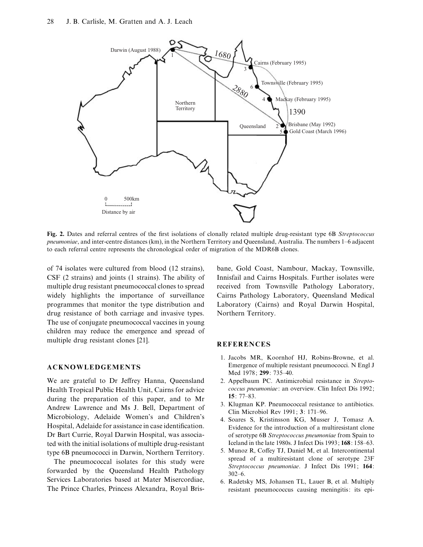

**Fig. 2.** Dates and referral centres of the first isolations of clonally related multiple drug-resistant type 6B *Streptococcus pneumoniae*, and inter-centre distances (km), in the Northern Territory and Queensland, Australia. The numbers 1–6 adjacent to each referral centre represents the chronological order of migration of the MDR6B clones.

of 74 isolates were cultured from blood (12 strains), CSF (2 strains) and joints (1 strains). The ability of multiple drug resistant pneumococcal clones to spread widely highlights the importance of surveillance programmes that monitor the type distribution and drug resistance of both carriage and invasive types. The use of conjugate pneumococcal vaccines in young children may reduce the emergence and spread of multiple drug resistant clones [21].

#### **ACKNOWLEDGEMENTS**

We are grateful to Dr Jeffrey Hanna, Queensland Health Tropical Public Health Unit, Cairns for advice during the preparation of this paper, and to Mr Andrew Lawrence and Ms J. Bell, Department of Microbiology, Adelaide Women's and Children's Hospital, Adelaide for assistance in case identification. Dr Bart Currie, Royal Darwin Hospital, was associated with the initial isolations of multiple drug-resistant type 6B pneumococci in Darwin, Northern Territory.

The pneumococcal isolates for this study were forwarded by the Queensland Health Pathology Services Laboratories based at Mater Misercordiae, The Prince Charles, Princess Alexandra, Royal Brisbane, Gold Coast, Nambour, Mackay, Townsville, Innisfail and Cairns Hospitals. Further isolates were received from Townsville Pathology Laboratory, Cairns Pathology Laboratory, Queensland Medical Laboratory (Cairns) and Royal Darwin Hospital, Northern Territory.

# **REFERENCES**

- 1. Jacobs MR, Koornhof HJ, Robins-Browne, et al. Emergence of multiple resistant pneumococci. N Engl J Med 1978; **299**: 735–40.
- 2. Appelbaum PC. Antimicrobial resistance in *Streptococcus pneumoniae*: an overview. Clin Infect Dis 1992; **15**: 77–83.
- 3. Klugman KP. Pneumococcal resistance to antibiotics. Clin Microbiol Rev 1991; **3**: 171–96.
- 4. Soares S, Kristinsson KG, Musser J, Tomasz A. Evidence for the introduction of a multiresistant clone of serotype 6B *Streptococcus pneumoniae* from Spain to Iceland in the late 1980s. J Infect Dis 1993; **168**: 158–63.
- 5. Munoz R, Coffey TJ, Daniel M, et al. Intercontinental spread of a multiresistant clone of serotype 23F *Streptococcus pneumoniae*. J Infect Dis 1991; **164**:  $302-6.$
- 6. Radetsky MS, Johansen TL, Lauer B, et al. Multiply resistant pneumococcus causing meningitis: its epi-